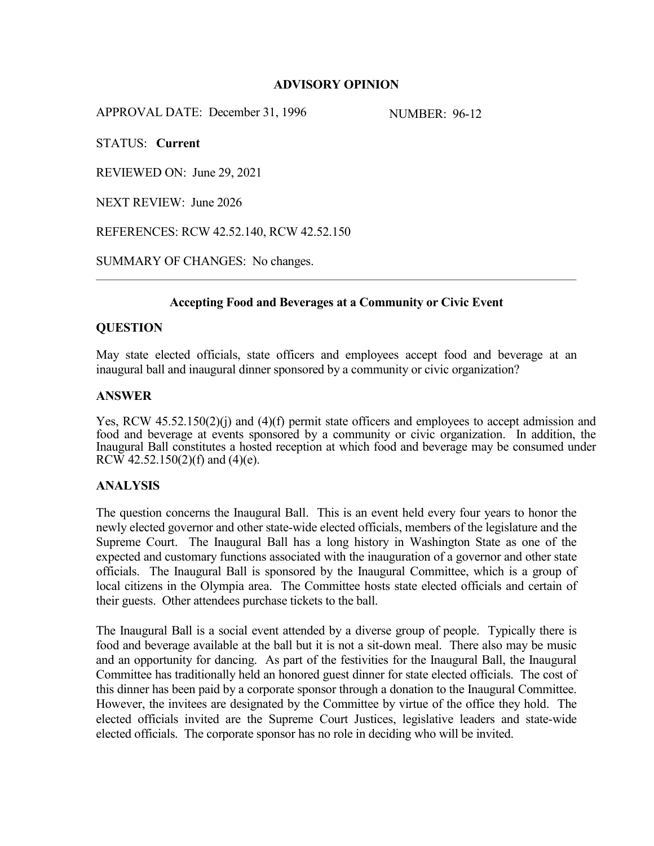### **ADVISORY OPINION**

APPROVAL DATE: December 31, 1996 NUMBER: 96-12

STATUS: **Current**

REVIEWED ON: June 29, 2021

NEXT REVIEW: June 2026

REFERENCES: RCW 42.52.140, RCW 42.52.150

SUMMARY OF CHANGES: No changes.

# **Accepting Food and Beverages at a Community or Civic Event**

#### **QUESTION**

May state elected officials, state officers and employees accept food and beverage at an inaugural ball and inaugural dinner sponsored by a community or civic organization?

### **ANSWER**

Yes, RCW 45.52.150(2)(j) and (4)(f) permit state officers and employees to accept admission and food and beverage at events sponsored by a community or civic organization. In addition, the Inaugural Ball constitutes a hosted reception at which food and beverage may be consumed under RCW 42.52.150(2)(f) and (4)(e).

# **ANALYSIS**

The question concerns the Inaugural Ball. This is an event held every four years to honor the newly elected governor and other state-wide elected officials, members of the legislature and the Supreme Court. The Inaugural Ball has a long history in Washington State as one of the expected and customary functions associated with the inauguration of a governor and other state officials. The Inaugural Ball is sponsored by the Inaugural Committee, which is a group of local citizens in the Olympia area. The Committee hosts state elected officials and certain of their guests. Other attendees purchase tickets to the ball.

The Inaugural Ball is a social event attended by a diverse group of people. Typically there is food and beverage available at the ball but it is not a sit-down meal. There also may be music and an opportunity for dancing. As part of the festivities for the Inaugural Ball, the Inaugural Committee has traditionally held an honored guest dinner for state elected officials. The cost of this dinner has been paid by a corporate sponsor through a donation to the Inaugural Committee. However, the invitees are designated by the Committee by virtue of the office they hold. The elected officials invited are the Supreme Court Justices, legislative leaders and state-wide elected officials. The corporate sponsor has no role in deciding who will be invited.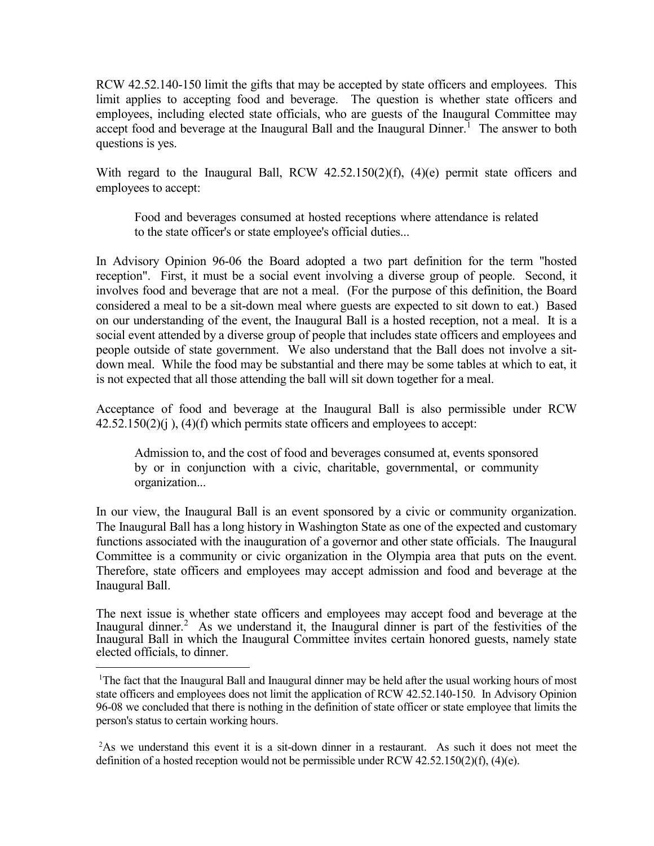RCW 42.52.140-150 limit the gifts that may be accepted by state officers and employees. This limit applies to accepting food and beverage. The question is whether state officers and employees, including elected state officials, who are guests of the Inaugural Committee may accept food and beverage at the Inaugural Ball and the Inaugural Dinner.<sup>[1](#page-1-0)</sup> The answer to both questions is yes.

With regard to the Inaugural Ball, RCW 42.52.150(2)(f), (4)(e) permit state officers and employees to accept:

Food and beverages consumed at hosted receptions where attendance is related to the state officer's or state employee's official duties...

In Advisory Opinion 96-06 the Board adopted a two part definition for the term "hosted reception". First, it must be a social event involving a diverse group of people. Second, it involves food and beverage that are not a meal. (For the purpose of this definition, the Board considered a meal to be a sit-down meal where guests are expected to sit down to eat.) Based on our understanding of the event, the Inaugural Ball is a hosted reception, not a meal. It is a social event attended by a diverse group of people that includes state officers and employees and people outside of state government. We also understand that the Ball does not involve a sitdown meal. While the food may be substantial and there may be some tables at which to eat, it is not expected that all those attending the ball will sit down together for a meal.

Acceptance of food and beverage at the Inaugural Ball is also permissible under RCW  $42.52.150(2)(i)$ ,  $(4)(f)$  which permits state officers and employees to accept:

Admission to, and the cost of food and beverages consumed at, events sponsored by or in conjunction with a civic, charitable, governmental, or community organization...

In our view, the Inaugural Ball is an event sponsored by a civic or community organization. The Inaugural Ball has a long history in Washington State as one of the expected and customary functions associated with the inauguration of a governor and other state officials. The Inaugural Committee is a community or civic organization in the Olympia area that puts on the event. Therefore, state officers and employees may accept admission and food and beverage at the Inaugural Ball.

The next issue is whether state officers and employees may accept food and beverage at the Inaugural dinner.<sup>[2](#page-1-1)</sup> As we understand it, the Inaugural dinner is part of the festivities of the Inaugural Ball in which the Inaugural Committee invites certain honored guests, namely state elected officials, to dinner.

<span id="page-1-0"></span> <sup>1</sup> The fact that the Inaugural Ball and Inaugural dinner may be held after the usual working hours of most state officers and employees does not limit the application of RCW 42.52.140-150. In Advisory Opinion 96-08 we concluded that there is nothing in the definition of state officer or state employee that limits the person's status to certain working hours.

<span id="page-1-1"></span><sup>&</sup>lt;sup>2</sup>As we understand this event it is a sit-down dinner in a restaurant. As such it does not meet the definition of a hosted reception would not be permissible under RCW  $42.52.150(2)(f)$ ,  $(4)(e)$ .